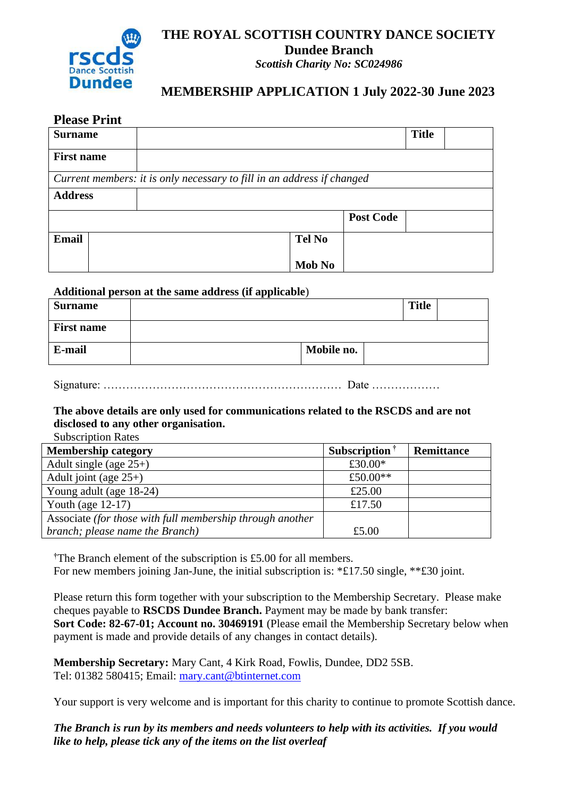

## **THE ROYAL SCOTTISH COUNTRY DANCE SOCIETY Dundee Branch**

*Scottish Charity No: SC024986*

### **MEMBERSHIP APPLICATION 1 July 2022-30 June 2023**

| <b>Surname</b>                                                         |  |  |  |               |                  | <b>Title</b> |  |
|------------------------------------------------------------------------|--|--|--|---------------|------------------|--------------|--|
| <b>First name</b>                                                      |  |  |  |               |                  |              |  |
| Current members: it is only necessary to fill in an address if changed |  |  |  |               |                  |              |  |
| <b>Address</b>                                                         |  |  |  |               |                  |              |  |
|                                                                        |  |  |  |               | <b>Post Code</b> |              |  |
| <b>Email</b>                                                           |  |  |  | <b>Tel No</b> |                  |              |  |
|                                                                        |  |  |  | <b>Mob No</b> |                  |              |  |

#### **Additional person at the same address (if applicable**)

| <b>Surname</b>    |            | <b>Title</b> |  |
|-------------------|------------|--------------|--|
| <b>First name</b> |            |              |  |
| E-mail            | Mobile no. |              |  |

| $\sim$ |  |
|--------|--|
|--------|--|

#### **The above details are only used for communications related to the RSCDS and are not disclosed to any other organisation.**

Subscription Rates

| <b>Membership category</b>                                | Subscription $\dagger$ | Remittance |
|-----------------------------------------------------------|------------------------|------------|
| Adult single (age $25+$ )                                 | £30.00 $*$             |            |
| Adult joint (age $25+$ )                                  | £50.00**               |            |
| Young adult (age 18-24)                                   | £25.00                 |            |
| Youth (age $12-17$ )                                      | £17.50                 |            |
| Associate (for those with full membership through another |                        |            |
| branch; please name the Branch)                           | £5.00                  |            |

**†**The Branch element of the subscription is £5.00 for all members. For new members joining Jan-June, the initial subscription is:  $*f17.50$  single,  $**f30$  joint.

Please return this form together with your subscription to the Membership Secretary. Please make cheques payable to **RSCDS Dundee Branch.** Payment may be made by bank transfer: **Sort Code: 82-67-01; Account no. 30469191** (Please email the Membership Secretary below when payment is made and provide details of any changes in contact details).

**Membership Secretary:** Mary Cant, 4 Kirk Road, Fowlis, Dundee, DD2 5SB. Tel: 01382 580415; Email: [mary.cant@btinternet.com](mailto:mary.cant@btinternet.com)

Your support is very welcome and is important for this charity to continue to promote Scottish dance.

*The Branch is run by its members and needs volunteers to help with its activities. If you would like to help, please tick any of the items on the list overleaf*